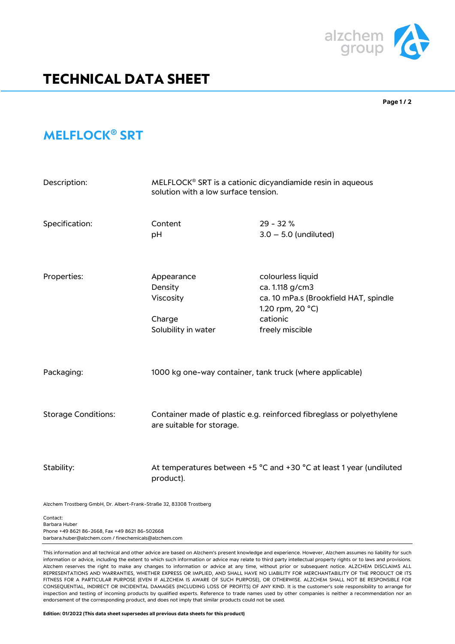

## **TECHNICAL DATA SHEET**

**Page 1 / 2**

## **MELFLOCK® SRT**

| Description:               | MELFLOCK <sup>®</sup> SRT is a cationic dicyandiamide resin in aqueous<br>solution with a low surface tension. |                                                                                                                                  |
|----------------------------|----------------------------------------------------------------------------------------------------------------|----------------------------------------------------------------------------------------------------------------------------------|
| Specification:             | Content<br>pH                                                                                                  | $29 - 32%$<br>$3.0 - 5.0$ (undiluted)                                                                                            |
| Properties:                | Appearance<br>Density<br>Viscosity<br>Charge<br>Solubility in water                                            | colourless liquid<br>ca. 1.118 g/cm3<br>ca. 10 mPa.s (Brookfield HAT, spindle<br>1.20 rpm, 20 °C)<br>cationic<br>freely miscible |
| Packaging:                 | 1000 kg one-way container, tank truck (where applicable)                                                       |                                                                                                                                  |
| <b>Storage Conditions:</b> | Container made of plastic e.g. reinforced fibreglass or polyethylene<br>are suitable for storage.              |                                                                                                                                  |
| Stability:                 | product).                                                                                                      | At temperatures between +5 °C and +30 °C at least 1 year (undiluted                                                              |

Alzchem Trostberg GmbH, Dr. Albert-Frank-Straße 32, 83308 Trostberg

Contact: Barbara Huber Phone +49 8621 86-2668, Fax +49 8621 86-502668 barbara.huber@alzchem.com / finechemicals@alzchem.com

This information and all technical and other advice are based on Alzchem's present knowledge and experience. However, Alzchem assumes no liability for such information or advice, including the extent to which such information or advice may relate to third party intellectual property rights or to laws and provisions. Alzchem reserves the right to make any changes to information or advice at any time, without prior or subsequent notice. ALZCHEM DISCLAIMS ALL REPRESENTATIONS AND WARRANTIES, WHETHER EXPRESS OR IMPLIED, AND SHALL HAVE NO LIABILITY FOR MERCHANTABILITY OF THE PRODUCT OR ITS FITNESS FOR A PARTICULAR PURPOSE (EVEN IF ALZCHEM IS AWARE OF SUCH PURPOSE), OR OTHERWISE. ALZCHEM SHALL NOT BE RESPONSIBLE FOR CONSEQUENTIAL, INDIRECT OR INCIDENTAL DAMAGES (INCLUDING LOSS OF PROFITS) OF ANY KIND. It is the customer's sole responsibility to arrange for inspection and testing of incoming products by qualified experts. Reference to trade names used by other companies is neither a recommendation nor an endorsement of the corresponding product, and does not imply that similar products could not be used.

**Edition: 01/2022 (This data sheet supersedes all previous data sheets for this product)**